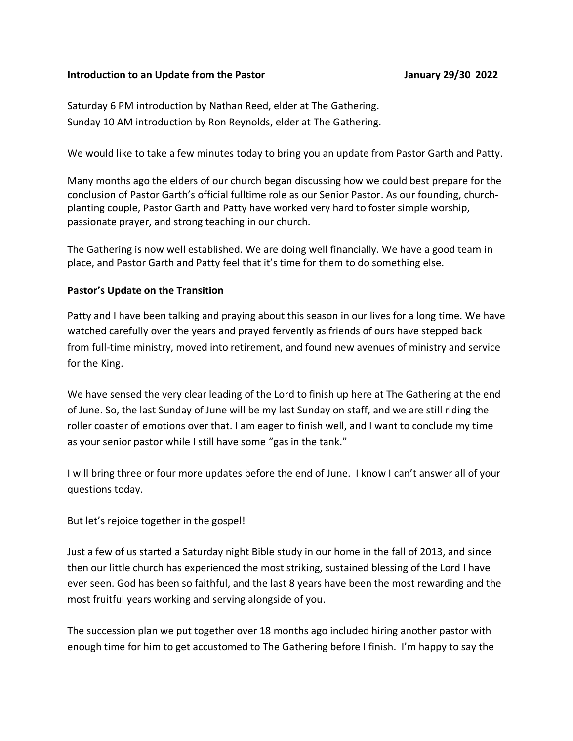## **Introduction to an Update from the Pastor January 29/30 2022**

Saturday 6 PM introduction by Nathan Reed, elder at The Gathering. Sunday 10 AM introduction by Ron Reynolds, elder at The Gathering.

We would like to take a few minutes today to bring you an update from Pastor Garth and Patty.

Many months ago the elders of our church began discussing how we could best prepare for the conclusion of Pastor Garth's official fulltime role as our Senior Pastor. As our founding, churchplanting couple, Pastor Garth and Patty have worked very hard to foster simple worship, passionate prayer, and strong teaching in our church.

The Gathering is now well established. We are doing well financially. We have a good team in place, and Pastor Garth and Patty feel that it's time for them to do something else.

## **Pastor's Update on the Transition**

Patty and I have been talking and praying about this season in our lives for a long time. We have watched carefully over the years and prayed fervently as friends of ours have stepped back from full-time ministry, moved into retirement, and found new avenues of ministry and service for the King.

We have sensed the very clear leading of the Lord to finish up here at The Gathering at the end of June. So, the last Sunday of June will be my last Sunday on staff, and we are still riding the roller coaster of emotions over that. I am eager to finish well, and I want to conclude my time as your senior pastor while I still have some "gas in the tank."

I will bring three or four more updates before the end of June. I know I can't answer all of your questions today.

But let's rejoice together in the gospel!

Just a few of us started a Saturday night Bible study in our home in the fall of 2013, and since then our little church has experienced the most striking, sustained blessing of the Lord I have ever seen. God has been so faithful, and the last 8 years have been the most rewarding and the most fruitful years working and serving alongside of you.

The succession plan we put together over 18 months ago included hiring another pastor with enough time for him to get accustomed to The Gathering before I finish. I'm happy to say the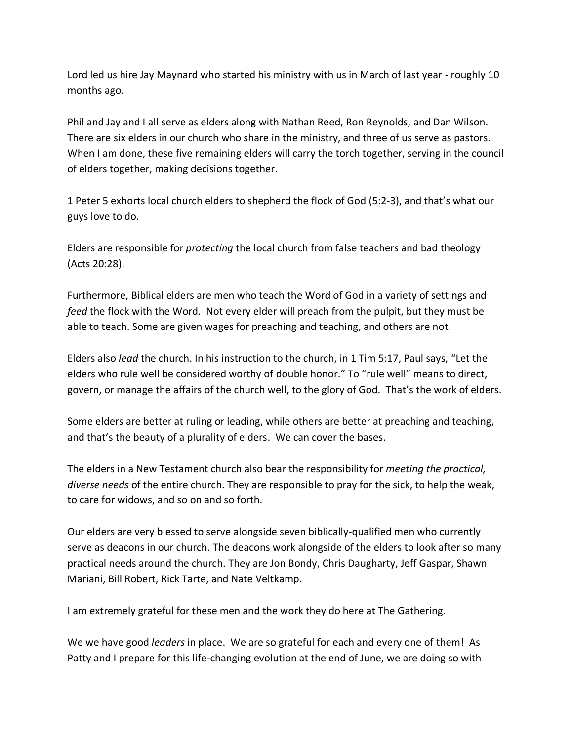Lord led us hire Jay Maynard who started his ministry with us in March of last year - roughly 10 months ago.

Phil and Jay and I all serve as elders along with Nathan Reed, Ron Reynolds, and Dan Wilson. There are six elders in our church who share in the ministry, and three of us serve as pastors. When I am done, these five remaining elders will carry the torch together, serving in the council of elders together, making decisions together.

1 Peter 5 exhorts local church elders to shepherd the flock of God (5:2-3), and that's what our guys love to do.

Elders are responsible for *protecting* the local church from false teachers and bad theology (Acts 20:28).

Furthermore, Biblical elders are men who teach the Word of God in a variety of settings and *feed* the flock with the Word. Not every elder will preach from the pulpit, but they must be able to teach. Some are given wages for preaching and teaching, and others are not.

Elders also *lead* the church. In his instruction to the church, in 1 Tim 5:17, Paul says, "Let the elders who rule well be considered worthy of double honor." To "rule well" means to direct, govern, or manage the affairs of the church well, to the glory of God. That's the work of elders.

Some elders are better at ruling or leading, while others are better at preaching and teaching, and that's the beauty of a plurality of elders. We can cover the bases.

The elders in a New Testament church also bear the responsibility for *meeting the practical, diverse needs* of the entire church. They are responsible to pray for the sick, to help the weak, to care for widows, and so on and so forth.

Our elders are very blessed to serve alongside seven biblically-qualified men who currently serve as deacons in our church. The deacons work alongside of the elders to look after so many practical needs around the church. They are Jon Bondy, Chris Daugharty, Jeff Gaspar, Shawn Mariani, Bill Robert, Rick Tarte, and Nate Veltkamp.

I am extremely grateful for these men and the work they do here at The Gathering.

We we have good *leaders* in place. We are so grateful for each and every one of them! As Patty and I prepare for this life-changing evolution at the end of June, we are doing so with